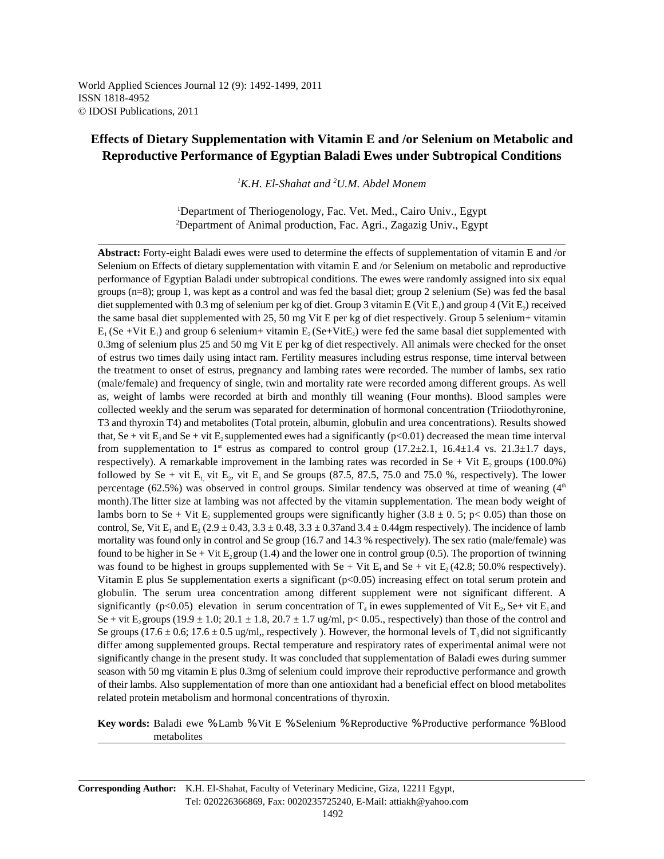World Applied Sciences Journal 12 (9): 1492-1499, 2011 ISSN 1818-4952 © IDOSI Publications, 2011

# **Effects of Dietary Supplementation with Vitamin E and /or Selenium on Metabolic and Reproductive Performance of Egyptian Baladi Ewes under Subtropical Conditions**

<sup>1</sup>K.H. El-Shahat and <sup>2</sup>U.M. Abdel Monem

<sup>1</sup>Department of Theriogenology, Fac. Vet. Med., Cairo Univ., Egypt <sup>2</sup>Department of Animal production, Fac. Agri., Zagazig Univ., Egypt

**Abstract:** Forty-eight Baladi ewes were used to determine the effects of supplementation of vitamin E and /or Selenium on Effects of dietary supplementation with vitamin E and /or Selenium on metabolic and reproductive performance of Egyptian Baladi under subtropical conditions. The ewes were randomly assigned into six equal groups (n=8); group 1, was kept as a control and was fed the basal diet; group 2 selenium (Se) was fed the basal diet supplemented with 0.3 mg of selenium per kg of diet. Group 3 vitamin E (Vit E<sub>1</sub>) and group 4 (Vit E<sub>2</sub>) received the same basal diet supplemented with 25, 50 mg Vit E per kg of diet respectively. Group 5 selenium+ vitamin  $E_1$  (Se +Vit  $E_1$ ) and group 6 selenium + vitamin  $E_2$  (Se +Vit $E_2$ ) were fed the same basal diet supplemented with 0.3mg of selenium plus 25 and 50 mg Vit E per kg of diet respectively. All animals were checked for the onset of estrus two times daily using intact ram. Fertility measures including estrus response, time interval between the treatment to onset of estrus, pregnancy and lambing rates were recorded. The number of lambs, sex ratio (male/female) and frequency of single, twin and mortality rate were recorded among different groups. As well as, weight of lambs were recorded at birth and monthly till weaning (Four months). Blood samples were collected weekly and the serum was separated for determination of hormonal concentration (Triiodothyronine, T3 and thyroxin T4) and metabolites (Total protein, albumin, globulin and urea concentrations). Results showed that, Se + vit E<sub>1</sub> and Se + vit E<sub>2</sub> supplemented ewes had a significantly ( $p<0.01$ ) decreased the mean time interval from supplementation to  $1^{\text{st}}$  estrus as compared to control group (17.2 $\pm$ 2.1, 16.4 $\pm$ 1.4 vs. 21.3 $\pm$ 1.7 days, respectively). A remarkable improvement in the lambing rates was recorded in Se + Vit  $E_2$  groups (100.0%) followed by Se + vit  $E_1$  vit  $E_2$ , vit  $E_1$  and Se groups (87.5, 87.5, 75.0 and 75.0 %, respectively). The lower percentage (62.5%) was observed in control groups. Similar tendency was observed at time of weaning  $(4<sup>th</sup>$ month).The litter size at lambing was not affected by the vitamin supplementation. The mean body weight of lambs born to Se + Vit  $E_2$  supplemented groups were significantly higher (3.8  $\pm$  0. 5; p< 0.05) than those on control, Se, Vit  $E_1$  and  $E_2$  (2.9  $\pm$  0.43, 3.3  $\pm$  0.48, 3.3  $\pm$  0.37and 3.4  $\pm$  0.44gm respectively). The incidence of lamb mortality was found only in control and Se group (16.7 and 14.3 % respectively). The sex ratio (male/female) was found to be higher in Se + Vit  $E_2$  group (1.4) and the lower one in control group (0.5). The proportion of twinning was found to be highest in groups supplemented with Se + Vit E<sub>1</sub> and Se + vit E<sub>2</sub> (42.8; 50.0% respectively). Vitamin E plus Se supplementation exerts a significant  $(p<0.05)$  increasing effect on total serum protein and globulin. The serum urea concentration among different supplement were not significant different. A significantly (p<0.05) elevation in serum concentration of  $T_4$  in ewes supplemented of Vit  $E_2$ , Se+ vit  $E_1$  and Se + vit  $E_2$  groups (19.9  $\pm$  1.0; 20.1  $\pm$  1.8, 20.7  $\pm$  1.7 ug/ml, p< 0.05., respectively) than those of the control and Se groups (17.6  $\pm$  0.6; 17.6  $\pm$  0.5 ug/ml,, respectively ). However, the hormonal levels of T<sub>3</sub> did not significantly differ among supplemented groups. Rectal temperature and respiratory rates of experimental animal were not significantly change in the present study. It was concluded that supplementation of Baladi ewes during summer season with 50 mg vitamin E plus 0.3mg of selenium could improve their reproductive performance and growth of their lambs. Also supplementation of more than one antioxidant had a beneficial effect on blood metabolites related protein metabolism and hormonal concentrations of thyroxin.

**Key words:** Baladi ewe % Lamb % Vit E % Selenium % Reproductive % Productive performance % Blood metabolites

**Corresponding Author:** K.H. El-Shahat, Faculty of Veterinary Medicine, Giza, 12211 Egypt, Tel: 020226366869, Fax: 0020235725240, E-Mail: attiakh@yahoo.com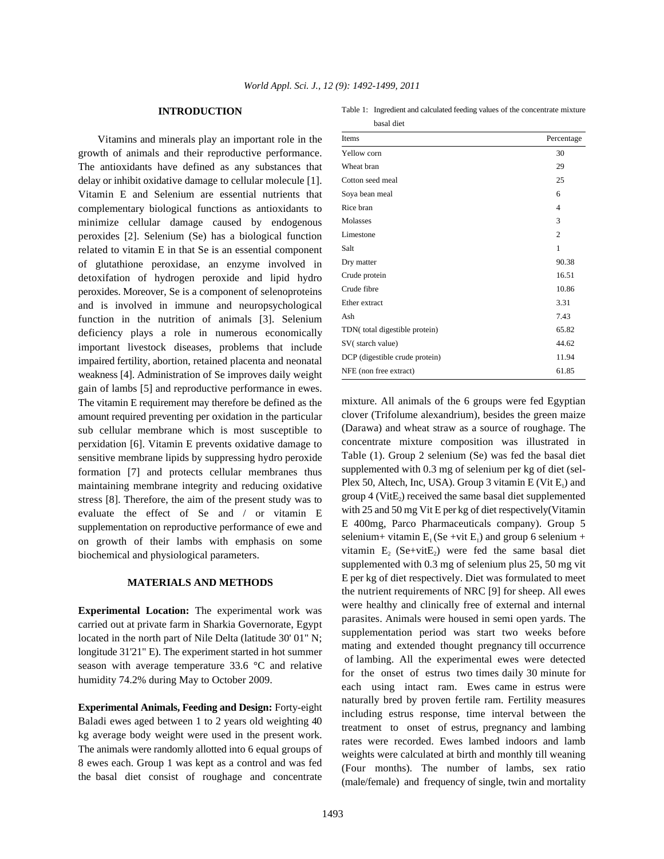## **INTRODUCTION**

Vitamins and minerals play an important role in the growth of animals and their reproductive performance. The antioxidants have defined as any substances that delay or inhibit oxidative damage to cellular molecule [1]. Vitamin E and Selenium are essential nutrients that complementary biological functions as antioxidants to minimize cellular damage caused by endogenous peroxides [2]. Selenium (Se) has a biological function related to vitamin E in that Se is an essential component of glutathione peroxidase, an enzyme involved in detoxifation of hydrogen peroxide and lipid hydro peroxides. Moreover, Se is a component of selenoproteins and is involved in immune and neuropsychological function in the nutrition of animals [3]. Selenium deficiency plays a role in numerous economically important livestock diseases, problems that include impaired fertility, abortion, retained placenta and neonatal weakness [4]. Administration of Se improves daily weight gain of lambs [5] and reproductive performance in ewes. The vitamin E requirement may therefore be defined as the amount required preventing per oxidation in the particular sub cellular membrane which is most susceptible to perxidation [6]. Vitamin E prevents oxidative damage to sensitive membrane lipids by suppressing hydro peroxide formation [7] and protects cellular membranes thus maintaining membrane integrity and reducing oxidative stress [8]. Therefore, the aim of the present study was to evaluate the effect of Se and / or vitamin E supplementation on reproductive performance of ewe and on growth of their lambs with emphasis on some biochemical and physiological parameters.

# **MATERIALS AND METHODS**

**Experimental Location:** The experimental work was carried out at private farm in Sharkia Governorate, Egypt located in the north part of Nile Delta (latitude 30' 01" N; longitude 31'21" E). The experiment started in hot summer season with average temperature 33.6 °C and relative humidity 74.2% during May to October 2009.

**Experimental Animals, Feeding and Design:** Forty-eight Baladi ewes aged between 1 to 2 years old weighting 40 kg average body weight were used in the present work. The animals were randomly allotted into 6 equal groups of 8 ewes each. Group 1 was kept as a control and was fed the basal diet consist of roughage and concentrate

| Table 1: Ingredient and calculated feeding values of the concentrate mixture |
|------------------------------------------------------------------------------|
| basal diet                                                                   |

| Items                          | Percentage     |
|--------------------------------|----------------|
| Yellow corn                    | 30             |
| Wheat bran                     | 29             |
| Cotton seed meal               | 25             |
| Soya bean meal                 | 6              |
| Rice bran                      | 4              |
| Molasses                       | 3              |
| Limestone                      | $\overline{c}$ |
| Salt                           | 1              |
| Dry matter                     | 90.38          |
| Crude protein                  | 16.51          |
| Crude fibre                    | 10.86          |
| Ether extract                  | 3.31           |
| Ash                            | 7.43           |
| TDN(total digestible protein)  | 65.82          |
| SV(starch value)               | 44.62          |
| DCP (digestible crude protein) | 11.94          |
| NFE (non free extract)         | 61.85          |

mixture. All animals of the 6 groups were fed Egyptian clover (Trifolume alexandrium), besides the green maize (Darawa) and wheat straw as a source of roughage. The concentrate mixture composition was illustrated in Table (1). Group 2 selenium (Se) was fed the basal diet supplemented with 0.3 mg of selenium per kg of diet (sel-Plex 50, Altech, Inc, USA). Group 3 vitamin  $E$  (Vit  $E_1$ ) and group 4 (VitE<sub>2</sub>) received the same basal diet supplemented with 25 and 50 mg Vit E per kg of diet respectively(Vitamin E 400mg, Parco Pharmaceuticals company). Group 5 selenium + vitamin  $E_1$  (Se +vit  $E_1$ ) and group 6 selenium + vitamin  $E_2$  (Se+vitE<sub>2</sub>) were fed the same basal diet supplemented with 0.3 mg of selenium plus 25, 50 mg vit E per kg of diet respectively. Diet was formulated to meet the nutrient requirements of NRC [9] for sheep. All ewes were healthy and clinically free of external and internal parasites. Animals were housed in semi open yards. The supplementation period was start two weeks before mating and extended thought pregnancy till occurrence of lambing. All the experimental ewes were detected for the onset of estrus two times daily 30 minute for each using intact ram. Ewes came in estrus were naturally bred by proven fertile ram. Fertility measures including estrus response, time interval between the treatment to onset of estrus, pregnancy and lambing rates were recorded. Ewes lambed indoors and lamb weights were calculated at birth and monthly till weaning (Four months). The number of lambs, sex ratio (male/female) and frequency of single, twin and mortality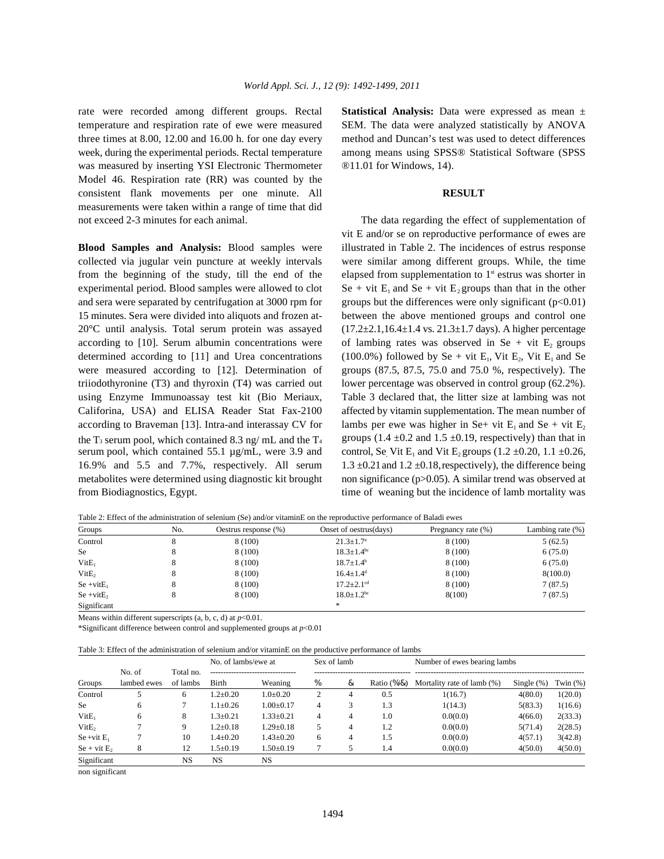temperature and respiration rate of ewe were measured SEM. The data were analyzed statistically by ANOVA three times at 8.00, 12.00 and 16.00 h. for one day every method and Duncan's test was used to detect differences week, during the experimental periods. Rectal temperature among means using SPSS® Statistical Software (SPSS was measured by inserting YSI Electronic Thermometer <sup>®11.01</sup> for Windows, 14). Model 46. Respiration rate (RR) was counted by the consistent flank movements per one minute. All **RESULT** measurements were taken within a range of time that did not exceed 2-3 minutes for each animal. The data regarding the effect of supplementation of

collected via jugular vein puncture at weekly intervals were similar among different groups. While, the time from the beginning of the study, till the end of the elapsed from supplementation to  $1<sup>st</sup>$  estrus was shorter in experimental period. Blood samples were allowed to clot  $\text{Se} + \text{vit } E_1$  and  $\text{Se} + \text{vit } E_2$  groups than that in the other and sera were separated by centrifugation at 3000 rpm for groups but the differences were only significant (p<0.01) 15 minutes. Sera were divided into aliquots and frozen at- between the above mentioned groups and control one 20 $^{\circ}$ C until analysis. Total serum protein was assayed  $(17.2 \pm 2.1,16.4 \pm 1.4 \text{ vs. } 21.3 \pm 1.7 \text{ days})$ . A higher percentage according to [10]. Serum albumin concentrations were of lambing rates was observed in Se + vit  $E_2$  groups determined according to [11] and Urea concentrations (100.0%) followed by Se + vit  $E_1$ , Vit  $E_2$ , Vit  $E_1$  and Se were measured according to [12]. Determination of groups (87.5, 87.5, 75.0 and 75.0 %, respectively). The triiodothyronine (T3) and thyroxin (T4) was carried out lower percentage was observed in control group (62.2%). using Enzyme Immunoassay test kit (Bio Meriaux, Table 3 declared that, the litter size at lambing was not Califorina, USA) and ELISA Reader Stat Fax-2100 affected by vitamin supplementation. The mean number of according to Braveman [13]. Intra-and interassay CV for the T<sub>3</sub> serum pool, which contained 8.3 ng/ mL and the T<sub>4</sub> groups  $(1.4 \pm 0.2 \text{ and } 1.5 \pm 0.19)$ , respectively) than that in serum pool, which contained 55.1  $\mu$ g/mL, were 3.9 and control, Se Vit E<sub>1</sub> and Vit E<sub>2</sub> groups (1.2 ±0.20, 1.1 ±0.26, 16.9% and 5.5 and 7.7%, respectively. All serum  $1.3 \pm 0.21$  and  $1.2 \pm 0.18$ , respectively), the difference being metabolites were determined using diagnostic kit brought non significance (p>0.05). A similar trend was observed at

rate were recorded among different groups. Rectal **Statistical Analysis:** Data were expressed as mean ±

**Blood Samples and Analysis:** Blood samples were illustrated in Table 2. The incidences of estrus response from Biodiagnostics, Egypt. the incidence of lamb mortality was time of weaning but the incidence of lamb mortality was vit E and/or se on reproductive performance of ewes are lambs per ewe was higher in Se+ vit  $E_1$  and Se + vit  $E_2$ 

| Groups            | No. | Oestrus response (%) | Onset of oestrus(days)       | Pregnancy rate (%) | Lambing rate $(\%)$ |
|-------------------|-----|----------------------|------------------------------|--------------------|---------------------|
| Control           | 8   | 8 (100)              | $21.3 \pm 1.7^{\rm a}$       | 8(100)             | 5(62.5)             |
| Se                |     | 8 (100)              | $18.3 \pm 1.4$ <sup>bc</sup> | 8 (100)            | 6(75.0)             |
| VitE <sub>1</sub> | 8   | 8 (100)              | $18.7 \pm 1.4^{\rm b}$       | 8 (100)            | 6(75.0)             |
| VitE <sub>2</sub> | 8   | 8 (100)              | $16.4 \pm 1.4$ <sup>d</sup>  | 8 (100)            | 8(100.0)            |
| $Se + vitE_1$     | 8   | 8 (100)              | $17.2 \pm 2.1$ <sup>cd</sup> | 8 (100)            | 7(87.5)             |
| $Se + vitE_2$     |     | 8 (100)              | $18.0 \pm 1.2$ <sup>bc</sup> | 8(100)             | 7(87.5)             |
| Significant       |     |                      | *                            |                    |                     |

Table 2: Effect of the administration of selenium (Se) and/or vitaminE on the reproductive performance of Baladi ewes

Means within different superscripts  $(a, b, c, d)$  at  $p<0.01$ .

\*Significant difference between control and supplemented groups at *p*<0.01

Table 3: Effect of the administration of selenium and/or vitaminE on the productive performance of lambs

|                   |                     |           | No. of lambs/ewe at |                 |                | Sex of lamb |                       | Number of ewes bearing lambs |               |            |
|-------------------|---------------------|-----------|---------------------|-----------------|----------------|-------------|-----------------------|------------------------------|---------------|------------|
|                   | No. of<br>Total no. |           |                     |                 |                |             |                       |                              |               |            |
| Groups            | lambed ewes         | of lambs  | Birth               | Weaning         | %              | &           | Ratio $(\frac{9}{8})$ | Mortality rate of lamb (%)   | Single $(\%)$ | Twin $(%)$ |
| Control           |                     | 6         | $1.2 \pm 0.20$      | $1.0 \pm 0.20$  | $\overline{c}$ | 4           | 0.5                   | 1(16.7)                      | 4(80.0)       | 1(20.0)    |
| <b>Se</b>         | 6                   |           | $1.1 \pm 0.26$      | $1.00 \pm 0.17$ | 4              | 3           | 1.3                   | 1(14.3)                      | 5(83.3)       | 1(16.6)    |
| VitE <sub>1</sub> | 6                   | 8         | $1.3 \pm 0.21$      | $1.33 \pm 0.21$ | 4              | 4           | 1.0                   | 0.0(0.0)                     | 4(66.0)       | 2(33.3)    |
| VitE <sub>2</sub> |                     | 9         | $1.2 \pm 0.18$      | $1.29 \pm 0.18$ |                | 4           | 1.2                   | 0.0(0.0)                     | 5(71.4)       | 2(28.5)    |
| $Se + vit E_1$    |                     | 10        | $1.4 \pm 0.20$      | $1.43 \pm 0.20$ | 6              | 4           | 1.5                   | 0.0(0.0)                     | 4(57.1)       | 3(42.8)    |
| $Se + vit E_2$    | 8                   | 12        | $1.5 \pm 0.19$      | $.50 \pm 0.19$  |                |             | 1.4                   | 0.0(0.0)                     | 4(50.0)       | 4(50.0)    |
| Significant       |                     | <b>NS</b> | NS                  | <b>NS</b>       |                |             |                       |                              |               |            |

non significant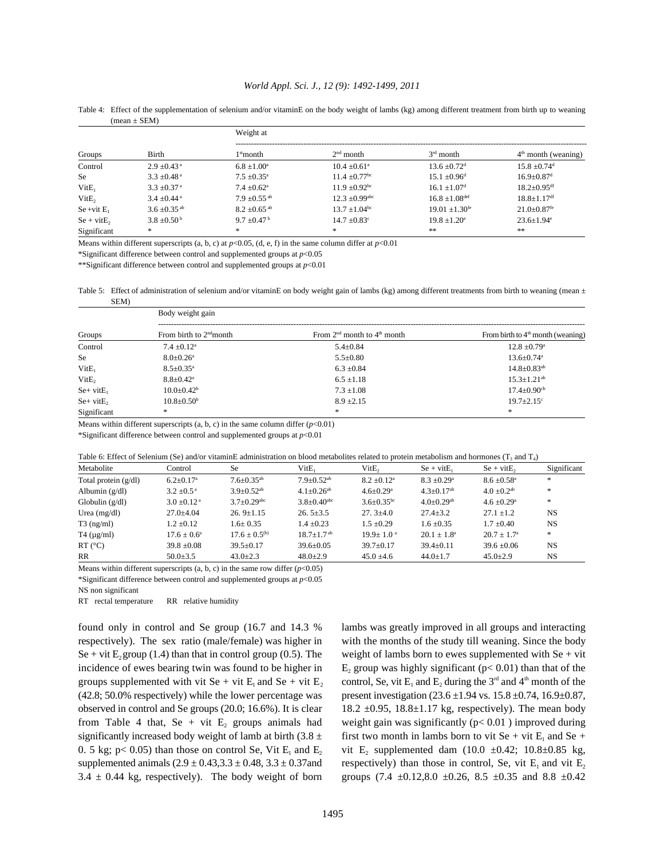## *World Appl. Sci. J., 12 (9): 1492-1499, 2011*

| Groups            |                              | Weight at                    |                               |                                |                               |  |  |
|-------------------|------------------------------|------------------------------|-------------------------------|--------------------------------|-------------------------------|--|--|
|                   | Birth                        | 1stmonth                     | $2nd$ month                   | $3rd$ month                    | $4th$ month (weaning)         |  |  |
| Control           | $2.9 \pm 0.43$ <sup>a</sup>  | $6.8 \pm 1.00^{\circ}$       | $10.4 + 0.61$ <sup>a</sup>    | $13.6 \pm 0.72$ <sup>d</sup>   | $15.8 + 0.74$ <sup>d</sup>    |  |  |
| Se                | $3.3 \pm 0.48$ <sup>a</sup>  | $7.5 + 0.35^{\circ}$         | $11.4 \pm 0.77$ <sup>bc</sup> | $15.1 \pm 0.96$ <sup>d</sup>   | $16.9 \pm 0.87$ <sup>d</sup>  |  |  |
| VitE <sub>1</sub> | $3.3 \pm 0.37$ <sup>a</sup>  | $7.4 \pm 0.62$ <sup>a</sup>  | $11.9 + 0.92$ <sup>bc</sup>   | $16.1 \pm 1.07$ <sup>d</sup>   | $18.2 \pm 0.95$ <sup>df</sup> |  |  |
| VitE,             | $3.4 \pm 0.44$ <sup>a</sup>  | $7.9 + 0.55$ <sup>ab</sup>   | $12.3 + 0.99$ <sup>abc</sup>  | $16.8 \pm 1.08$ <sup>def</sup> | $18.8 \pm 1.17$ <sup>df</sup> |  |  |
| $Se + vit E_1$    | $3.6 \pm 0.35$ <sup>ab</sup> | $8.2 \pm 0.65$ <sup>ab</sup> | $13.7 \pm 1.04$ <sup>bc</sup> | $19.01 \pm 1.30$ <sup>fe</sup> | $21.0 \pm 0.87^{\rm fe}$      |  |  |
| $Se + vitE_2$     | $3.8 \pm 0.50^{\mathrm{b}}$  | $9.7 + 0.47^{\mathrm{b}}$    | $14.7 \pm 0.83$ <sup>c</sup>  | $19.8 + 1.20^{\circ}$          | $23.6 \pm 1.94$ <sup>e</sup>  |  |  |
| Significant       | *                            | *                            | *                             | **                             | **                            |  |  |

Table 4: Effect of the supplementation of selenium and/or vitaminE on the body weight of lambs (kg) among different treatment from birth up to weaning  $(mean \pm SEM)$ 

Means within different superscripts (a, b, c) at  $p<0.05$ , (d, e, f) in the same column differ at  $p<0.01$ 

\*Significant difference between control and supplemented groups at *p*<0.05

 $^{**}$  Significant difference between control and supplemented groups at  $p<0.01$ 

Table 5: Effect of administration of selenium and/or vitaminE on body weight gain of lambs (kg) among different treatments from birth to weaning (mean ± SEM)

| Groups            | Body weight gain            |                                 |                                     |  |  |  |  |  |
|-------------------|-----------------------------|---------------------------------|-------------------------------------|--|--|--|--|--|
|                   | From birth to $2nd$ month   | From $2nd$ month to $4th$ month | From birth to $4th$ month (weaning) |  |  |  |  |  |
| Control           | $7.4 + 0.12^a$              | $5.4 \pm 0.84$                  | $12.8 \pm 0.79$ <sup>a</sup>        |  |  |  |  |  |
| <b>Se</b>         | $8.0 \pm 0.26$ <sup>a</sup> | $5.5 \pm 0.80$                  | $13.6 \pm 0.74$ <sup>a</sup>        |  |  |  |  |  |
| VitE <sub>1</sub> | $8.5 \pm 0.35$ <sup>a</sup> | $6.3 \pm 0.84$                  | $14.8 \pm 0.83$ <sup>ab</sup>       |  |  |  |  |  |
| VitE <sub>2</sub> | $8.8 \pm 0.42$ <sup>a</sup> | $6.5 \pm 1.18$                  | $15.3 \pm 1.21^{ab}$                |  |  |  |  |  |
| $Se+$ vit $E_1$   | $10.0 \pm 0.42^b$           | $7.3 \pm 1.08$                  | $17.4 \pm 0.90$ <sup>cb</sup>       |  |  |  |  |  |
| $Se+$ vit $E2$    | $10.8 \pm 0.50^{\circ}$     | $8.9 \pm 2.15$                  | $19.7 \pm 2.15$ <sup>c</sup>        |  |  |  |  |  |
| Significant       | *                           | *                               | *                                   |  |  |  |  |  |

Means within different superscripts  $(a, b, c)$  in the same column differ  $(p<0.01)$ 

\*Significant difference between control and supplemented groups at *p*<0.01

| Table 6: Effect of Selenium (Se) and/or vitaminE administration on blood metabolites related to protein metabolism and hormones (T <sub>3</sub> and T <sub>4</sub> ) |  |  |
|----------------------------------------------------------------------------------------------------------------------------------------------------------------------|--|--|
|----------------------------------------------------------------------------------------------------------------------------------------------------------------------|--|--|

| Metabolite             | Control                   | <b>Se</b>                    | $V$ it $E_1$                  | VitE <sub>2</sub>           | $Se + vitE_1$                | .<br>$Se + vitE_2$        | Significant |
|------------------------|---------------------------|------------------------------|-------------------------------|-----------------------------|------------------------------|---------------------------|-------------|
|                        |                           |                              |                               |                             |                              |                           |             |
| Total protein $(g/dl)$ | $6.2 + 0.17$ <sup>a</sup> | $7.6 + 0.35^{ab}$            | $7.9 + 0.52$ <sup>ab</sup>    | $8.2 + 0.12^a$              | $8.3 + 0.29$ <sup>a</sup>    | $8.6 + 0.58$ <sup>a</sup> | *           |
| Albumin $(g/dl)$       | $3.2 + 0.5^{\text{a}}$    | $3.9 \pm 0.52$ <sup>ab</sup> | $4.1 \pm 0.26$ <sup>ab</sup>  | $4.6 \pm 0.29$ <sup>a</sup> | $4.3 \pm 0.17$ <sup>ab</sup> | $4.0 + 0.2$ <sup>ab</sup> | *           |
| Globulin $(g/dl)$      | $3.0 + 0.12$ <sup>a</sup> | $3.7+0.29$ <sup>abc</sup>    | $3.8 \pm 0.40$ <sup>abc</sup> | $3.6 + 0.35$ <sup>bc</sup>  | $4.0 + 0.29$ <sup>ab</sup>   | $4.6 + 0.29$ <sup>a</sup> | *           |
| Urea $(mg/dl)$         | $27.0 + 4.04$             | $26.9+1.15$                  | $26.5+3.5$                    | $27.3 \pm 4.0$              | $27.4 \pm 3.2$               | $27.1 + 1.2$              | <b>NS</b>   |
| $T3$ (ng/ml)           | $1.2 + 0.12$              | $1.6 \pm 0.35$               | $1.4 + 0.23$                  | $1.5 + 0.29$                | $1.6 + 0.35$                 | $1.7 + 0.40$              | <b>NS</b>   |
| $T4 \text{ (µg/ml)}$   | $17.6 + 0.6^a$            | $17.6 + 0.5^{(b)}$           | $18.7 + 1.7$ <sup>ab</sup>    | $19.9 + 1.0$ <sup>a</sup>   | $20.1 + 1.8^a$               | $20.7 + 1.7^{\circ}$      | *           |
| $RT$ (°C)              | $39.8 \pm 0.08$           | $39.5 \pm 0.17$              | $39.6 \pm 0.05$               | $39.7 \pm 0.17$             | $39.4 \pm 0.11$              | $39.6 + 0.06$             | <b>NS</b>   |
| RR                     | $50.0 \pm 3.5$            | $43.0 \pm 2.3$               | $48.0 \pm 2.9$                | $45.0 \pm 4.6$              | $44.0 \pm 1.7$               | $45.0 \pm 2.9$            | NS          |

Means within different superscripts  $(a, b, c)$  in the same row differ  $(p<0.05)$ \*Significant difference between control and supplemented groups at *p*<0.05

NS non significant

RT rectal temperature RR relative humidity

respectively). The sex ratio (male/female) was higher in with the months of the study till weaning. Since the body Se + vit  $E_2$  group (1.4) than that in control group (0.5). The weight of lambs born to ewes supplemented with Se + vit (42.8; 50.0% respectively) while the lower percentage was present investigation  $(23.6 \pm 1.94 \text{ vs. } 15.8 \pm 0.74, 16.9 \pm 0.87,$ observed in control and Se groups (20.0; 16.6%). It is clear 18.2  $\pm$ 0.95, 18.8 $\pm$ 1.17 kg, respectively). The mean body from Table 4 that, Se + vit  $E_2$  groups animals had supplemented animals ( $2.9 \pm 0.43$ ,  $3.3 \pm 0.48$ ,  $3.3 \pm 0.37$  and 3.4  $\pm$  0.44 kg, respectively). The body weight of born groups (7.4  $\pm$ 0.12,8.0  $\pm$ 0.26, 8.5  $\pm$ 0.35 and 8.8  $\pm$ 0.42

found only in control and Se group (16.7 and 14.3 % lambs was greatly improved in all groups and interacting incidence of ewes bearing twin was found to be higher in  $E_2$  group was highly significant ( $p < 0.01$ ) than that of the groups supplemented with vit Se + vit  $E_1$  and Se + vit  $E_2$  control, Se, vit  $E_1$  and  $E_2$  during the 3<sup>rd</sup> and 4<sup>th</sup> month of the weight gain was significantly ( $p < 0.01$ ) improved during significantly increased body weight of lamb at birth  $(3.8 \pm \text{first two month in lamb born to vit Se + vit E}_1$  and Se + 0. 5 kg; p< 0.05) than those on control Se, Vit  $E_1$  and  $E_2$  vit  $E_2$  supplemented dam (10.0  $\pm$ 0.42; 10.8 $\pm$ 0.85 kg, respectively) than those in control, Se, vit  $E_1$  and vit  $E_2$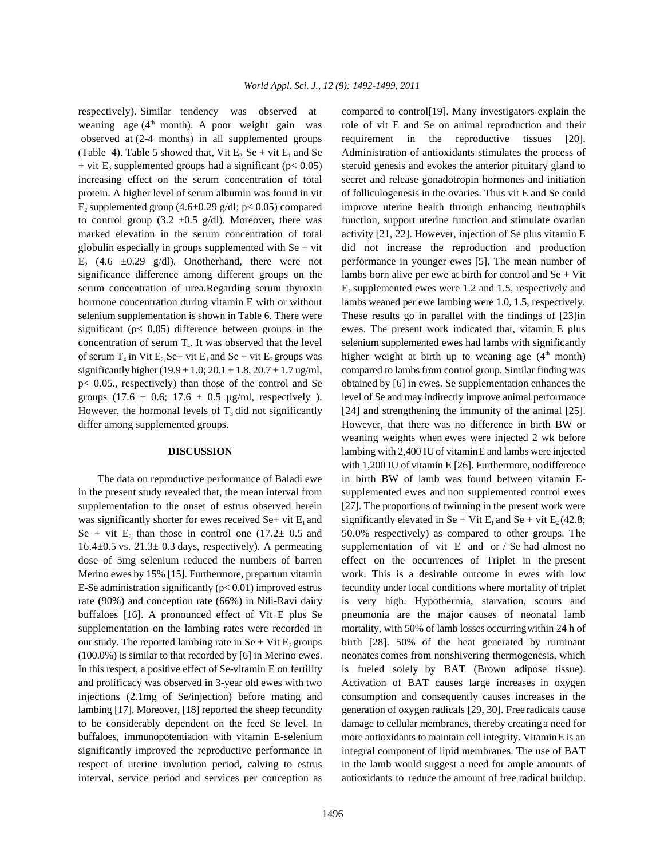respectively). Similar tendency was observed at compared to control[19]. Many investigators explain the weaning age (4<sup>th</sup> month). A poor weight gain was observed at (2-4 months) in all supplemented groups requirement in the reproductive tissues [20]. (Table 4). Table 5 showed that, Vit E<sub>2</sub> Se + vit E<sub>1</sub> and Se Administration of antioxidants stimulates the process of + vit  $E_2$  supplemented groups had a significant ( $p < 0.05$ ) increasing effect on the serum concentration of total secret and release gonadotropin hormones and initiation protein. A higher level of serum albumin was found in vit of folliculogenesis in the ovaries. Thus vit E and Se could  $E_2$  supplemented group (4.6±0.29 g/dl; p< 0.05) compared to control group (3.2  $\pm$ 0.5 g/dl). Moreover, there was function, support uterine function and stimulate ovarian marked elevation in the serum concentration of total activity [21, 22]. However, injection of Se plus vitamin E globulin especially in groups supplemented with  $Se + vit$  did not increase the reproduction and production E<sub>2</sub> (4.6  $\pm$ 0.29 g/dl). Onotherhand, there were not performance in younger ewes [5]. The mean number of significance difference among different groups on the lambs born alive per ewe at birth for control and  $Se + Vit$ serum concentration of urea.Regarding serum thyroxin  $E_2$  supplemented ewes were 1.2 and 1.5, respectively and hormone concentration during vitamin E with or without lambs weaned per ewe lambing were 1.0, 1.5, respectively. selenium supplementation is shown in Table 6. There were These results go in parallel with the findings of [23]in significant  $(p< 0.05)$  difference between groups in the ewes. The present work indicated that, vitamin E plus concentration of serum  $T_4$ . It was observed that the level of serum  $T_4$  in Vit  $E_2$  Se+ vit  $E_1$  and Se + vit  $E_2$  groups was higher weight at birth up to weaning age (4<sup>th</sup> month) significantly higher (19.9  $\pm$  1.0; 20.1  $\pm$  1.8, 20.7  $\pm$  1.7 ug/ml, compared to lambs from control group. Similar finding was p< 0.05., respectively) than those of the control and Se obtained by [6] in ewes. Se supplementation enhances the groups (17.6  $\pm$  0.6; 17.6  $\pm$  0.5 µg/ml, respectively ). level of Se and may indirectly improve animal performance However, the hormonal levels of  $T_3$  did not significantly [24] and strengthening the immunity of the animal [25]. differ among supplemented groups. However, that there was no difference in birth BW or

in the present study revealed that, the mean interval from supplemented ewes and non supplemented control ewes supplementation to the onset of estrus observed herein [27]. The proportions of twinning in the present work were was significantly shorter for ewes received Se+ vit  $E_1$  and significantly elevated in Se + Vit  $E_1$  and Se + vit  $E_2$  (42.8; Se + vit E<sub>2</sub> than those in control one  $(17.2 \pm 0.5)$  and 16.4±0.5 vs. 21.3± 0.3 days, respectively). A permeating supplementation of vit E and or / Se had almost no dose of 5mg selenium reduced the numbers of barren effect on the occurrences of Triplet in the present Merino ewes by 15% [15]. Furthermore, prepartum vitamin work. This is a desirable outcome in ewes with low E-Se administration significantly  $(p< 0.01)$  improved estrus fecundity under local conditions where mortality of triplet rate (90%) and conception rate (66%) in Nili-Ravi dairy is very high. Hypothermia, starvation, scours and buffaloes [16]. A pronounced effect of Vit E plus Se pneumonia are the major causes of neonatal lamb supplementation on the lambing rates were recorded in mortality, with 50% of lamb losses occurring within 24 h of our study. The reported lambing rate in Se + Vit  $E_2$  groups birth [28]. 50% of the heat generated by ruminant (100.0%) is similar to that recorded by [6] in Merino ewes. neonates comes from nonshivering thermogenesis, which In this respect, a positive effect of Se-vitamin E on fertility is fueled solely by BAT (Brown adipose tissue). and prolificacy was observed in 3-year old ewes with two Activation of BAT causes large increases in oxygen injections (2.1mg of Se/injection) before mating and consumption and consequently causes increases in the lambing [17]. Moreover, [18] reported the sheep fecundity to be considerably dependent on the feed Se level. In buffaloes, immunopotentiation with vitamin E-selenium significantly improved the reproductive performance in respect of uterine involution period, calving to estrus interval, service period and services per conception as antioxidants to reduce the amount of free radical buildup.

role of vit E and Se on animal reproduction and their steroid genesis and evokes the anterior pituitary gland to improve uterine health through enhancing neutrophils selenium supplemented ewes had lambs with significantly **DISCUSSION** lambing with 2,400 IU of vitaminE and lambs were injected The data on reproductive performance of Baladi ewe in birth BW of lamb was found between vitamin E-50.0% respectively) as compared to other groups. The weaning weights when ewes were injected 2 wk before with 1,200 IU of vitamin E [26]. Furthermore, nodifference generation of oxygen radicals [29, 30]. Free radicals cause damage to cellular membranes, thereby creatinga need for more antioxidants to maintain cell integrity. VitaminE is an integral component of lipid membranes. The use of BAT in the lamb would suggest a need for ample amounts of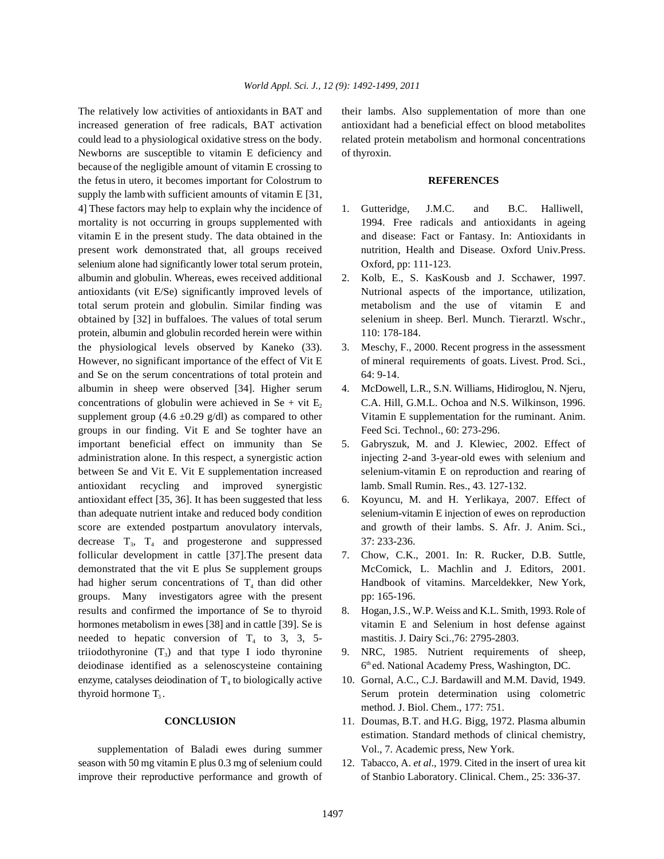increased generation of free radicals, BAT activation antioxidant had a beneficial effect on blood metabolites could lead to a physiological oxidative stress on the body. related protein metabolism and hormonal concentrations Newborns are susceptible to vitamin E deficiency and of thyroxin. because of the negligible amount of vitamin E crossing to the fetusin utero, it becomes important for Colostrum to **REFERENCES** supply the lamb with sufficient amounts of vitamin E [31, 4] These factors may help to explain why the incidence of 1. Gutteridge, J.M.C. and B.C. Halliwell, mortality is not occurring in groups supplemented with 1994. Free radicals and antioxidants in ageing vitamin E in the present study. The data obtained in the and disease: Fact or Fantasy. In: Antioxidants in present work demonstrated that, all groups received nutrition, Health and Disease. Oxford Univ.Press. selenium alone had significantly lower total serum protein, Oxford, pp: 111-123. albumin and globulin. Whereas, ewes received additional 2. Kolb, E., S. KasKousb and J. Scchawer, 1997. antioxidants (vit E/Se) significantly improved levels of Nutrional aspects of the importance, utilization, total serum protein and globulin. Similar finding was metabolism and the use of vitamin E and obtained by [32] in buffaloes. The values of total serum selenium in sheep. Berl. Munch. Tierarztl. Wschr., protein, albumin and globulin recorded herein were within 110: 178-184. the physiological levels observed by Kaneko (33). 3. Meschy, F., 2000. Recent progress in the assessment However, no significant importance of the effect of Vit E of mineral requirements of goats. Livest. Prod. Sci., and Se on the serum concentrations of total protein and 64: 9-14. albumin in sheep were observed [34]. Higher serum 4. McDowell, L.R., S.N. Williams, Hidiroglou, N. Njeru, concentrations of globulin were achieved in  $Se + vit E$ , C.A. Hill, G.M.L. Ochoa and N.S. Wilkinson, 1996. supplement group (4.6  $\pm$ 0.29 g/dl) as compared to other Vitamin E supplementation for the ruminant. Anim. groups in our finding. Vit E and Se toghter have an Feed Sci. Technol., 60: 273-296. important beneficial effect on immunity than Se 5. Gabryszuk, M. and J. Klewiec, 2002. Effect of administration alone. In this respect, a synergistic action injecting 2-and 3-year-old ewes with selenium and between Se and Vit E. Vit E supplementation increased selenium-vitamin E on reproduction and rearing of antioxidant recycling and improved synergistic lamb. Small Rumin. Res., 43. 127-132. antioxidant effect [35, 36]. It has been suggested that less 6. Koyuncu, M. and H. Yerlikaya, 2007. Effect of than adequate nutrient intake and reduced body condition selenium-vitamin E injection of ewes on reproduction score are extended postpartum anovulatory intervals, and growth of their lambs. S. Afr. J. Anim. Sci., decrease  $T_3$ ,  $T_4$  and progesterone and suppressed 37: 233-236. follicular development in cattle [37]. The present data 7. Chow, C.K., 2001. In: R. Rucker, D.B. Suttle, demonstrated that the vit E plus Se supplement groups McComick, L. Machlin and J. Editors, 2001. had higher serum concentrations of  $T_4$  than did other Handbook of vitamins. Marceldekker, New York, groups. Many investigators agree with the present pp: 165-196. results and confirmed the importance of Se to thyroid 8. Hogan, J.S., W.P. Weiss and K.L. Smith, 1993. Role of hormones metabolism in ewes [38] and in cattle [39]. Se is vitamin E and Selenium in host defense against needed to hepatic conversion of  $T_4$  to 3, 3, 5- mastitis. J. Dairy Sci., 76: 2795-2803. triiodothyronine  $(T_3)$  and that type I iodo thyronine 9. NRC, 1985. Nutrient requirements of sheep, deiodinase identified as a selenoscysteine containing enzyme, catalyses deiodination of  $T_4$  to biologically active 10. Gornal, A.C., C.J. Bardawill and M.M. David, 1949. thyroid hormone  $T_3$ .

supplementation of Baladi ewes during summer Vol., 7. Academic press, New York. season with 50 mg vitamin E plus 0.3 mg of selenium could 12. Tabacco, A. *et al*., 1979. Cited in the insert of urea kit improve their reproductive performance and growth of of Stanbio Laboratory. Clinical. Chem., 25: 336-37.

The relatively low activities of antioxidants in BAT and their lambs. Also supplementation of more than one

- 
- 
- 
- 
- 
- 
- 
- 
- 6<sup>th</sup> ed. National Academy Press, Washington, DC.
- . Serum protein determination using colometric method. J. Biol. Chem., 177: 751.
- **CONCLUSION** 11. Doumas, B.T. and H.G. Bigg, 1972. Plasma albumin estimation. Standard methods of clinical chemistry,
	-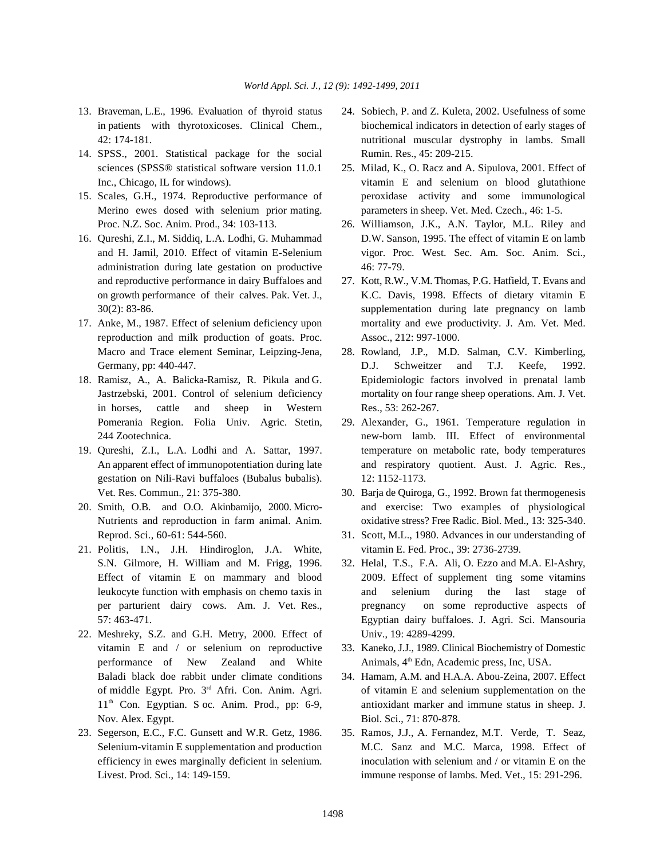- 
- 14. SPSS., 2001. Statistical package for the social Rumin. Res., 45: 209-215. sciences (SPSS® statistical software version 11.0.1 25. Milad, K., O. Racz and A. Sipulova, 2001. Effect of
- Merino ewes dosed with selenium prior mating. parameters in sheep. Vet. Med. Czech., 46: 1-5.
- administration during late gestation on productive 46: 77-79. and reproductive performance in dairy Buffaloes and 27. Kott, R.W., V.M. Thomas, P.G. Hatfield, T. Evans and
- reproduction and milk production of goats. Proc. Assoc., 212: 997-1000. Macro and Trace element Seminar, Leipzing-Jena, 28. Rowland, J.P., M.D. Salman, C.V. Kimberling,
- in horses, cattle and sheep in Western Res., 53: 262-267. Pomerania Region. Folia Univ. Agric. Stetin, 29. Alexander, G., 1961. Temperature regulation in
- gestation on Nili-Ravi buffaloes (Bubalus bubalis). 12: 1152-1173.
- Reprod. Sci., 60-61: 544-560. 31. Scott, M.L., 1980. Advances in our understanding of
- 21. Politis, I.N., J.H. Hindiroglon, J.A. White, vitamin E. Fed. Proc., 39: 2736-2739. S.N. Gilmore, H. William and M. Frigg, 1996. 32. Helal, T.S., F.A. Ali, O. Ezzo and M.A. El-Ashry,
- 22. Meshreky, S.Z. and G.H. Metry, 2000. Effect of Univ., 19: 4289-4299. performance of New Zealand and White Animals,  $4^{\text{th}}$  Edn, Academic press, Inc, USA. Baladi black doe rabbit under climate conditions 34. Hamam, A.M. and H.A.A. Abou-Zeina, 2007. Effect 11<sup>th</sup> Con. Egyptian. S oc. Anim. Prod., pp: 6-9, Nov. Alex. Egypt. Biol. Sci., 71: 870-878.
- 23. Segerson, E.C., F.C. Gunsett and W.R. Getz, 1986. 35. Ramos, J.J., A. Fernandez, M.T. Verde, T. Seaz,
- 13. Braveman, L.E., 1996. Evaluation of thyroid status 24. Sobiech, P. and Z. Kuleta, 2002. Usefulness of some in patients with thyrotoxicoses. Clinical Chem., biochemical indicators in detection of early stages of 42: 174-181. nutritional muscular dystrophy in lambs. Small
- Inc., Chicago, IL for windows). vitamin E and selenium on blood glutathione 15. Scales, G.H., 1974. Reproductive performance of peroxidase activity and some immunological
- Proc. N.Z. Soc. Anim. Prod., 34: 103-113. 26. Williamson, J.K., A.N. Taylor, M.L. Riley and 16. Qureshi, Z.I., M. Siddiq, L.A. Lodhi, G. Muhammad D.W. Sanson, 1995. The effect of vitamin E on lamb and H. Jamil, 2010. Effect of vitamin E-Selenium vigor. Proc. West. Sec. Am. Soc. Anim. Sci.,
- on growth performance of their calves. Pak. Vet. J., K.C. Davis, 1998. Effects of dietary vitamin E 30(2): 83-86. supplementation during late pregnancy on lamb 17. Anke, M., 1987. Effect of selenium deficiency upon mortality and ewe productivity. J. Am. Vet. Med.
- Germany, pp: 440-447. Command D.J. Schweitzer and T.J. Keefe, 1992. 18. Ramisz, A., A. Balicka-Ramisz, R. Pikula and G. Epidemiologic factors involved in prenatal lamb Jastrzebski, 2001. Control of selenium deficiency mortality on four range sheep operations. Am. J. Vet.
- 244 Zootechnica. new-born lamb. III. Effect of environmental 19. Qureshi, Z.I., L.A. Lodhi and A. Sattar, 1997. temperature on metabolic rate, body temperatures An apparent effect of immunopotentiation during late and respiratory quotient. Aust. J. Agric. Res.,
- Vet. Res. Commun., 21: 375-380. 30. Barja de Quiroga, G., 1992. Brown fat thermogenesis 20. Smith, O.B. and O.O. Akinbamijo, 2000. Micro- and exercise: Two examples of physiological Nutrients and reproduction in farm animal. Anim. oxidative stress? Free Radic. Biol. Med., 13: 325-340.
	-
	- Effect of vitamin E on mammary and blood 2009. Effect of supplement ting some vitamins leukocyte function with emphasis on chemo taxis in and selenium during the last stage of per parturient dairy cows. Am. J. Vet. Res., pregnancy on some reproductive aspects of 57: 463-471. Egyptian dairy buffaloes. J. Agri. Sci. Mansouria
	- vitamin E and / or selenium on reproductive 33. Kaneko, J.J., 1989. Clinical Biochemistry of Domestic
	- of middle Egypt. Pro.  $3<sup>rd</sup>$  Afri. Con. Anim. Agri. of vitamin E and selenium supplementation on the antioxidant marker and immune status in sheep. J.
	- Selenium-vitamin E supplementation and production M.C. Sanz and M.C. Marca, 1998. Effect of efficiency in ewes marginally deficient in selenium. inoculation with selenium and / or vitamin E on the Livest. Prod. Sci., 14: 149-159. immune response of lambs. Med. Vet., 15: 291-296.